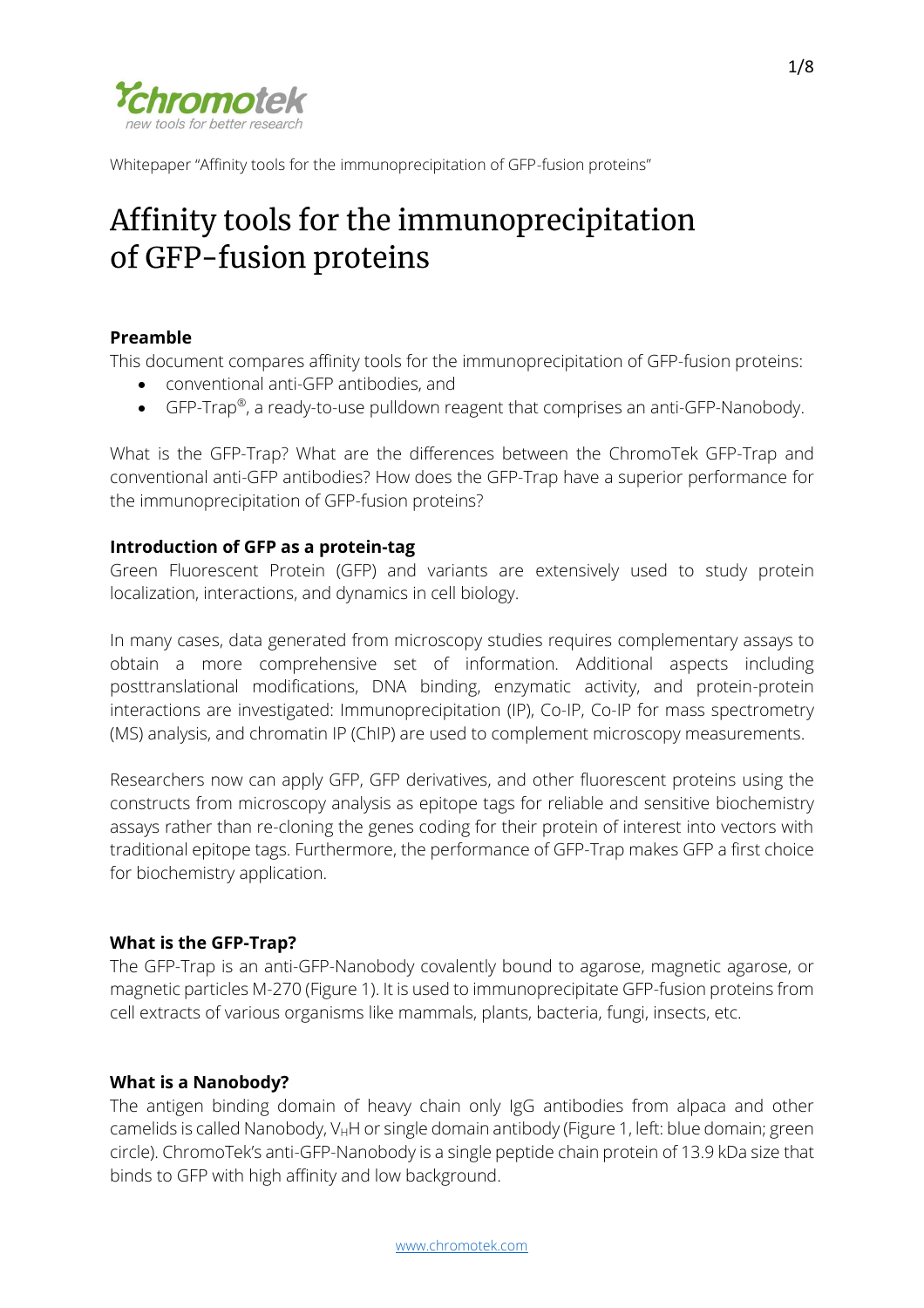

# Affinity tools for the immunoprecipitation of GFP-fusion proteins

# **Preamble**

This document compares affinity tools for the immunoprecipitation of GFP-fusion proteins:

- conventional anti-GFP antibodies, and
- GFP-Trap®, a ready-to-use pulldown reagent that comprises an anti-GFP-Nanobody.

What is the GFP-Trap? What are the differences between the ChromoTek GFP-Trap and conventional anti-GFP antibodies? How does the GFP-Trap have a superior performance for the immunoprecipitation of GFP-fusion proteins?

# **Introduction of GFP as a protein-tag**

Green Fluorescent Protein (GFP) and variants are extensively used to study protein localization, interactions, and dynamics in cell biology.

In many cases, data generated from microscopy studies requires complementary assays to obtain a more comprehensive set of information. Additional aspects including posttranslational modifications, DNA binding, enzymatic activity, and protein-protein interactions are investigated: Immunoprecipitation (IP), Co-IP, Co-IP for mass spectrometry (MS) analysis, and chromatin IP (ChIP) are used to complement microscopy measurements.

Researchers now can apply GFP, GFP derivatives, and other fluorescent proteins using the constructs from microscopy analysis as epitope tags for reliable and sensitive biochemistry assays rather than re-cloning the genes coding for their protein of interest into vectors with traditional epitope tags. Furthermore, the performance of GFP-Trap makes GFP a first choice for biochemistry application.

# **What is the GFP-Trap?**

The GFP-Trap is an anti-GFP-Nanobody covalently bound to agarose, magnetic agarose, or magnetic particles M-270 (Figure 1). It is used to immunoprecipitate GFP-fusion proteins from cell extracts of various organisms like mammals, plants, bacteria, fungi, insects, etc.

# **What is a Nanobody?**

The antigen binding domain of heavy chain only IgG antibodies from alpaca and other camelids is called Nanobody,  $V_HH$  or single domain antibody (Figure 1, left: blue domain; green circle). ChromoTek's anti-GFP-Nanobody is a single peptide chain protein of 13.9 kDa size that binds to GFP with high affinity and low background.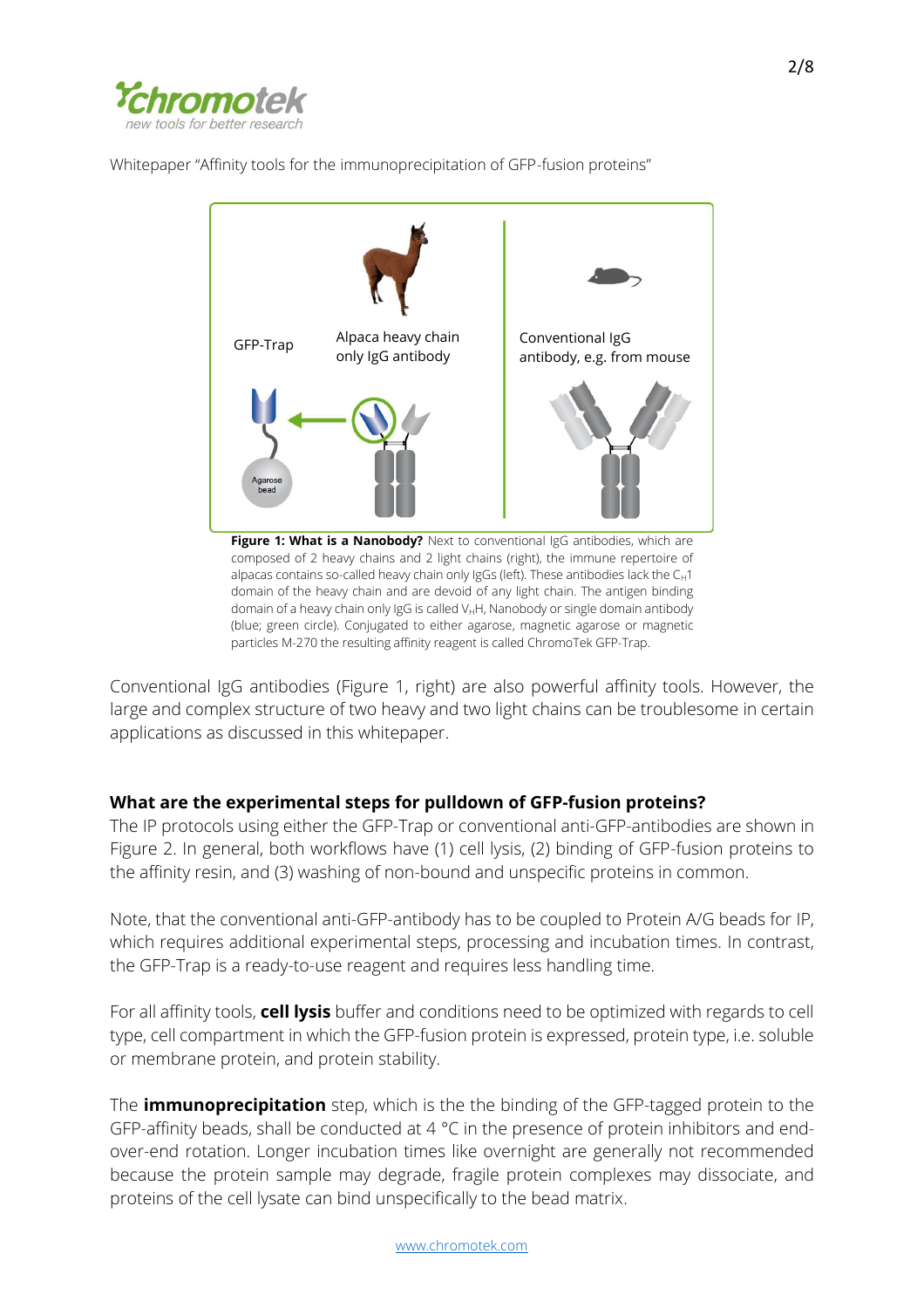



Figure 1: What is a Nanobody? Next to conventional IgG antibodies, which are composed of 2 heavy chains and 2 light chains (right), the immune repertoire of alpacas contains so-called heavy chain only IgGs (left). These antibodies lack the  $C_H1$ domain of the heavy chain and are devoid of any light chain. The antigen binding domain of a heavy chain only IgG is called V<sub>H</sub>H, Nanobody or single domain antibody (blue; green circle). Conjugated to either agarose, magnetic agarose or magnetic particles M-270 the resulting affinity reagent is called ChromoTek GFP-Trap.

Conventional IgG antibodies (Figure 1, right) are also powerful affinity tools. However, the large and complex structure of two heavy and two light chains can be troublesome in certain applications as discussed in this whitepaper.

# **What are the experimental steps for pulldown of GFP-fusion proteins?**

The IP protocols using either the GFP-Trap or conventional anti-GFP-antibodies are shown in Figure 2. In general, both workflows have (1) cell lysis, (2) binding of GFP-fusion proteins to the affinity resin, and (3) washing of non-bound and unspecific proteins in common.

Note, that the conventional anti-GFP-antibody has to be coupled to Protein A/G beads for IP, which requires additional experimental steps, processing and incubation times. In contrast, the GFP-Trap is a ready-to-use reagent and requires less handling time.

For all affinity tools, **cell lysis** buffer and conditions need to be optimized with regards to cell type, cell compartment in which the GFP-fusion protein is expressed, protein type, i.e. soluble or membrane protein, and protein stability.

The **immunoprecipitation** step, which is the the binding of the GFP-tagged protein to the GFP-affinity beads, shall be conducted at 4 °C in the presence of protein inhibitors and endover-end rotation. Longer incubation times like overnight are generally not recommended because the protein sample may degrade, fragile protein complexes may dissociate, and proteins of the cell lysate can bind unspecifically to the bead matrix.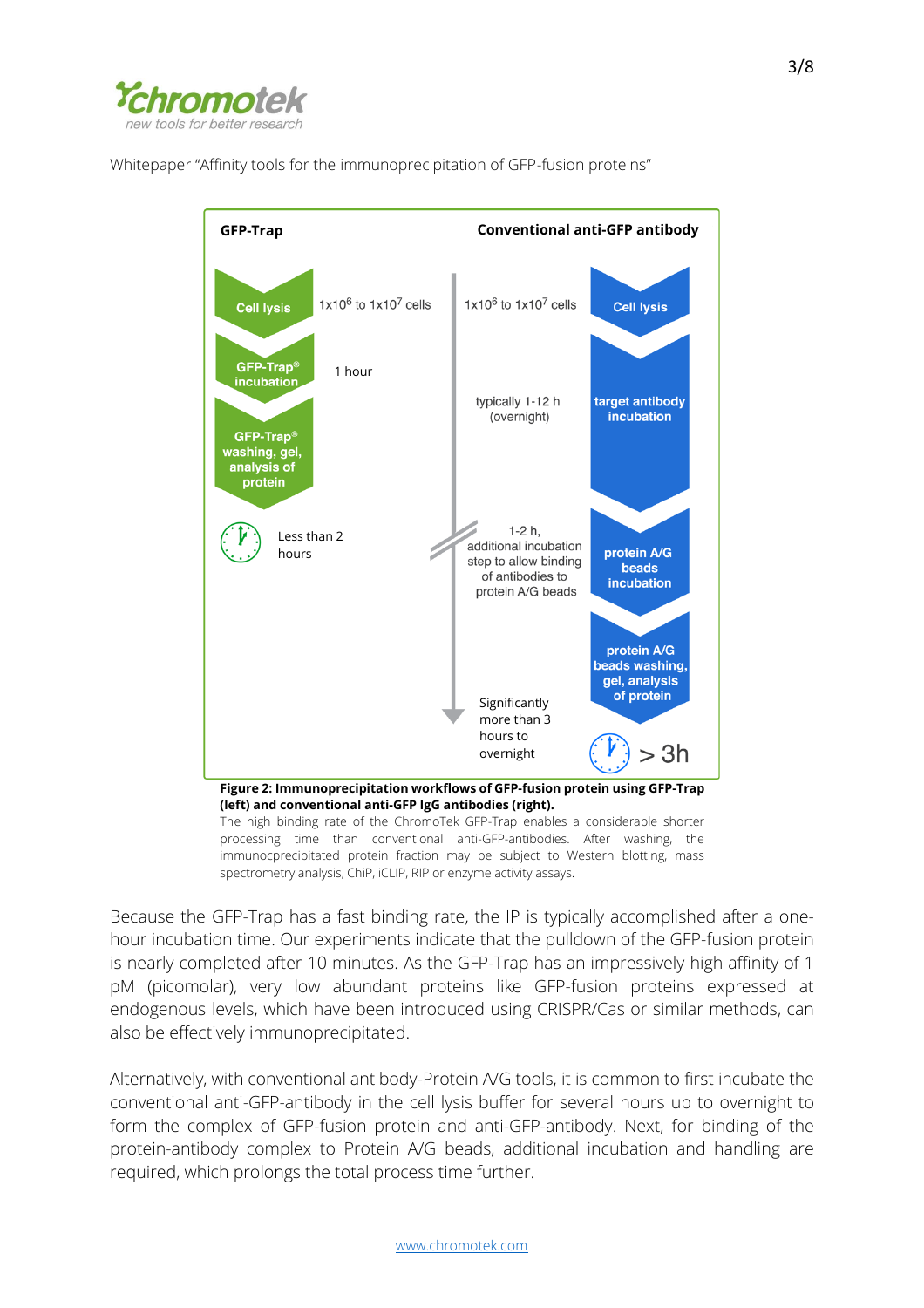



Because the GFP-Trap has a fast binding rate, the IP is typically accomplished after a onehour incubation time. Our experiments indicate that the pulldown of the GFP-fusion protein is nearly completed after 10 minutes. As the GFP-Trap has an impressively high affinity of 1 pM (picomolar), very low abundant proteins like GFP-fusion proteins expressed at endogenous levels, which have been introduced using CRISPR/Cas or similar methods, can also be effectively immunoprecipitated.

Alternatively, with conventional antibody-Protein A/G tools, it is common to first incubate the conventional anti-GFP-antibody in the cell lysis buffer for several hours up to overnight to form the complex of GFP-fusion protein and anti-GFP-antibody. Next, for binding of the protein-antibody complex to Protein A/G beads, additional incubation and handling are required, which prolongs the total process time further.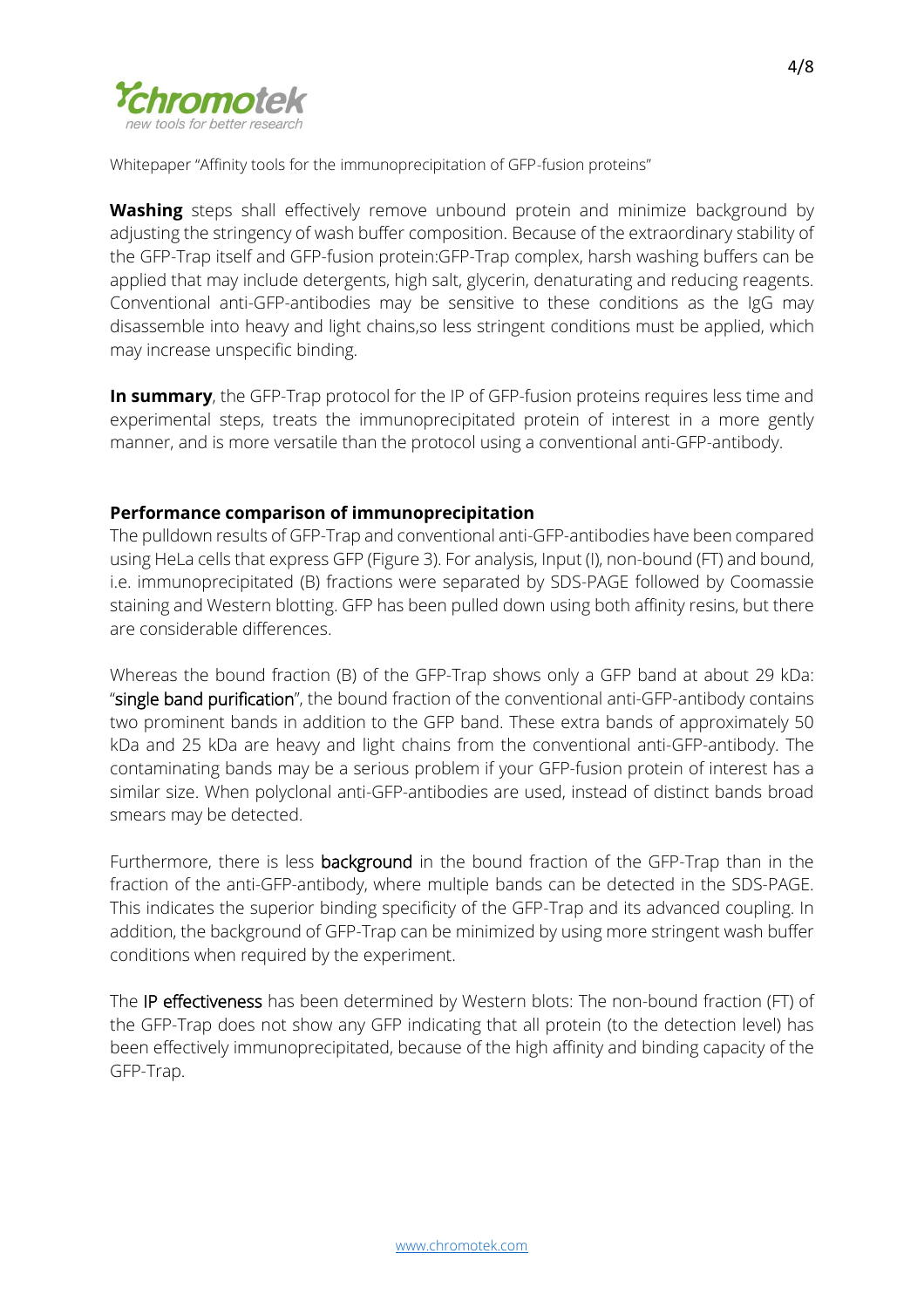

**Washing** steps shall effectively remove unbound protein and minimize background by adjusting the stringency of wash buffer composition. Because of the extraordinary stability of the GFP-Trap itself and GFP-fusion protein:GFP-Trap complex, harsh washing buffers can be applied that may include detergents, high salt, glycerin, denaturating and reducing reagents. Conventional anti-GFP-antibodies may be sensitive to these conditions as the IgG may disassemble into heavy and light chains,so less stringent conditions must be applied, which may increase unspecific binding.

**In summary**, the GFP-Trap protocol for the IP of GFP-fusion proteins requires less time and experimental steps, treats the immunoprecipitated protein of interest in a more gently manner, and is more versatile than the protocol using a conventional anti-GFP-antibody.

# **Performance comparison of immunoprecipitation**

The pulldown results of GFP-Trap and conventional anti-GFP-antibodies have been compared using HeLa cells that express GFP (Figure 3). For analysis, Input (I), non-bound (FT) and bound, i.e. immunoprecipitated (B) fractions were separated by SDS-PAGE followed by Coomassie staining and Western blotting. GFP has been pulled down using both affinity resins, but there are considerable differences.

Whereas the bound fraction (B) of the GFP-Trap shows only a GFP band at about 29 kDa: "single band purification", the bound fraction of the conventional anti-GFP-antibody contains two prominent bands in addition to the GFP band. These extra bands of approximately 50 kDa and 25 kDa are heavy and light chains from the conventional anti-GFP-antibody. The contaminating bands may be a serious problem if your GFP-fusion protein of interest has a similar size. When polyclonal anti-GFP-antibodies are used, instead of distinct bands broad smears may be detected.

Furthermore, there is less **background** in the bound fraction of the GFP-Trap than in the fraction of the anti-GFP-antibody, where multiple bands can be detected in the SDS-PAGE. This indicates the superior binding specificity of the GFP-Trap and its advanced coupling. In addition, the background of GFP-Trap can be minimized by using more stringent wash buffer conditions when required by the experiment.

The **IP effectiveness** has been determined by Western blots: The non-bound fraction (FT) of the GFP-Trap does not show any GFP indicating that all protein (to the detection level) has been effectively immunoprecipitated, because of the high affinity and binding capacity of the GFP-Trap.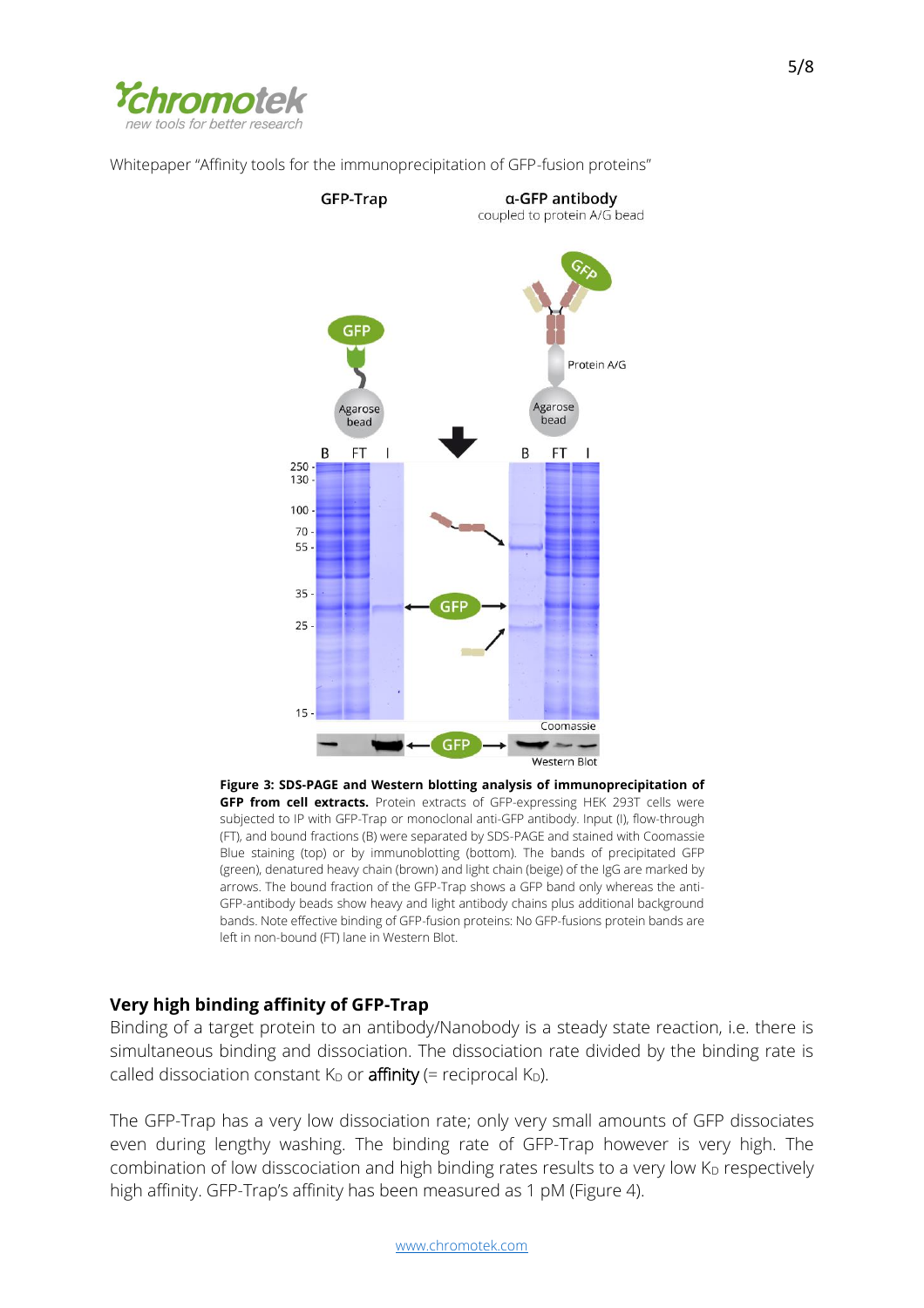



**Figure 3: SDS-PAGE and Western blotting analysis of immunoprecipitation of GFP from cell extracts.** Protein extracts of GFP-expressing HEK 293T cells were subjected to IP with GFP-Trap or monoclonal anti-GFP antibody. Input (I), flow-through (FT), and bound fractions (B) were separated by SDS-PAGE and stained with Coomassie Blue staining (top) or by immunoblotting (bottom). The bands of precipitated GFP (green), denatured heavy chain (brown) and light chain (beige) of the IgG are marked by arrows. The bound fraction of the GFP-Trap shows a GFP band only whereas the anti-GFP-antibody beads show heavy and light antibody chains plus additional background bands. Note effective binding of GFP-fusion proteins: No GFP-fusions protein bands are left in non-bound (FT) lane in Western Blot.

# **Very high binding affinity of GFP-Trap**

Binding of a target protein to an antibody/Nanobody is a steady state reaction, i.e. there is simultaneous binding and dissociation. The dissociation rate divided by the binding rate is called dissociation constant  $K_D$  or **affinity** (= reciprocal  $K_D$ ).

The GFP-Trap has a very low dissociation rate; only very small amounts of GFP dissociates even during lengthy washing. The binding rate of GFP-Trap however is very high. The combination of low disscociation and high binding rates results to a very low  $K<sub>D</sub>$  respectively high affinity. GFP-Trap's affinity has been measured as 1 pM (Figure 4).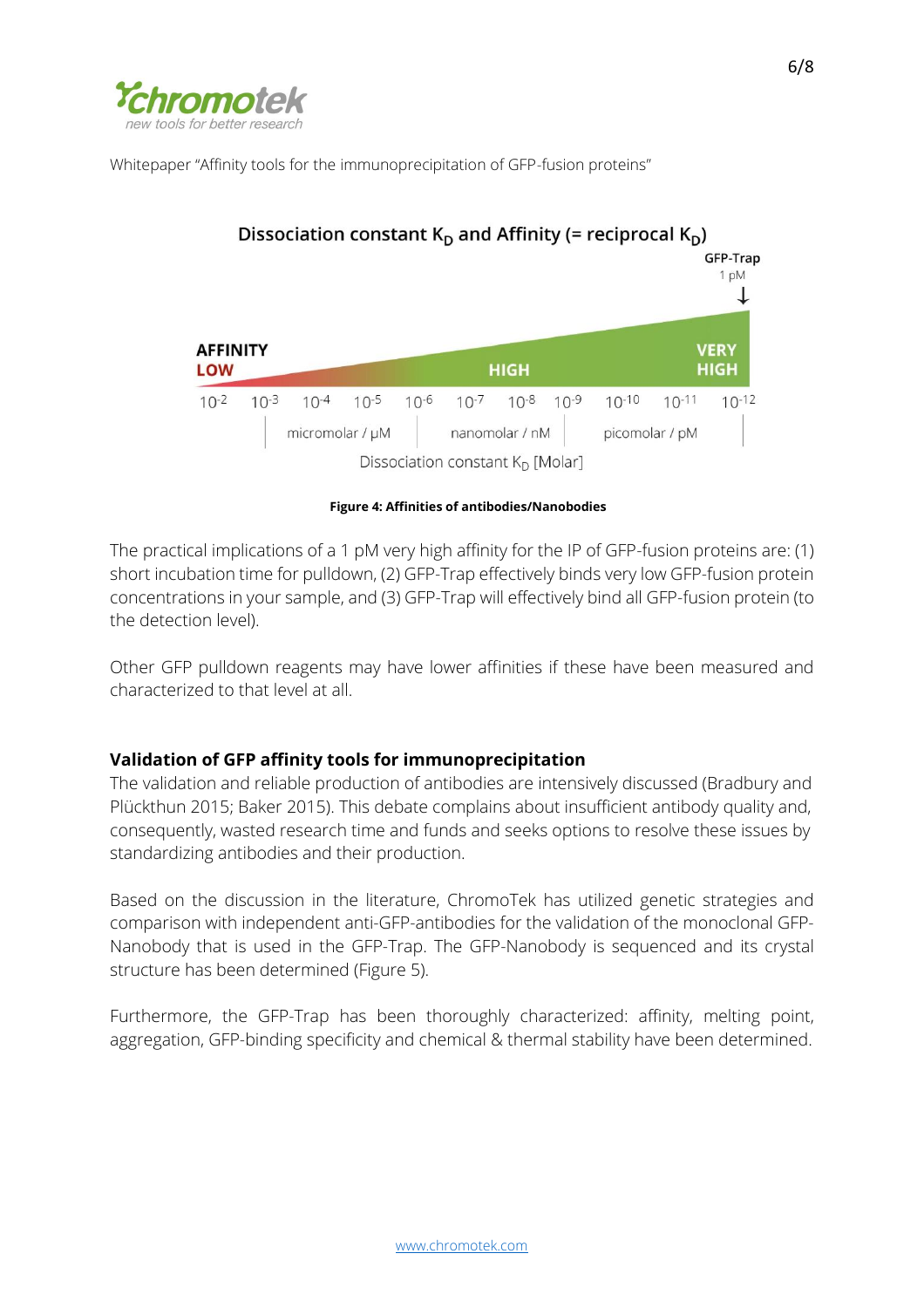



**Figure 4: Affinities of antibodies/Nanobodies**

The practical implications of a 1 pM very high affinity for the IP of GFP-fusion proteins are: (1) short incubation time for pulldown, (2) GFP-Trap effectively binds very low GFP-fusion protein concentrations in your sample, and (3) GFP-Trap will effectively bind all GFP-fusion protein (to the detection level).

Other GFP pulldown reagents may have lower affinities if these have been measured and characterized to that level at all.

# **Validation of GFP affinity tools for immunoprecipitation**

The validation and reliable production of antibodies are intensively discussed (Bradbury and Plückthun 2015; Baker 2015). This debate complains about insufficient antibody quality and, consequently, wasted research time and funds and seeks options to resolve these issues by standardizing antibodies and their production.

Based on the discussion in the literature, ChromoTek has utilized genetic strategies and comparison with independent anti-GFP-antibodies for the validation of the monoclonal GFP-Nanobody that is used in the GFP-Trap. The GFP-Nanobody is sequenced and its crystal structure has been determined (Figure 5).

Furthermore, the GFP-Trap has been thoroughly characterized: affinity, melting point, aggregation, GFP-binding specificity and chemical & thermal stability have been determined.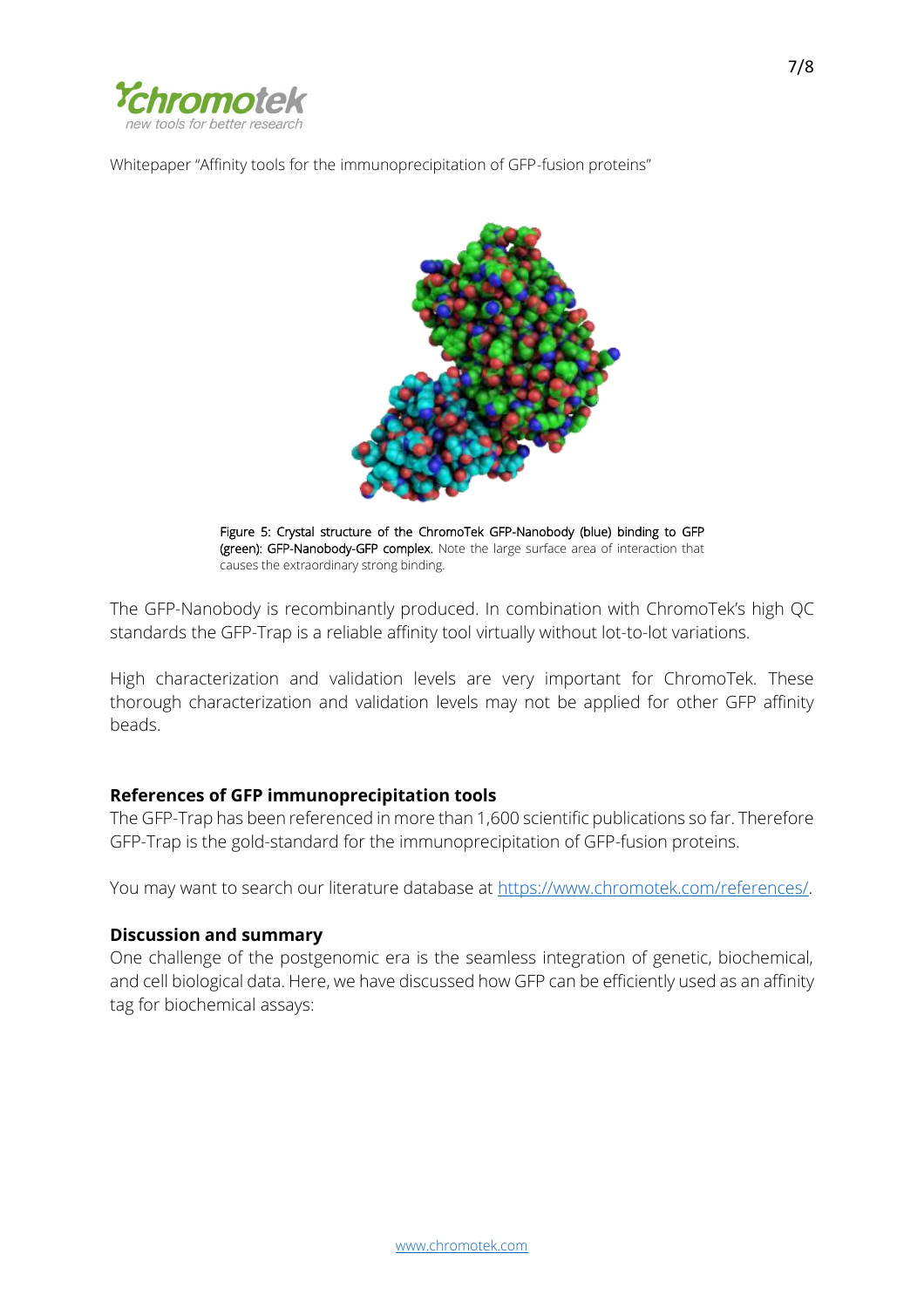



Figure 5: Crystal structure of the ChromoTek GFP-Nanobody (blue) binding to GFP (green): GFP-Nanobody-GFP complex. Note the large surface area of interaction that causes the extraordinary strong binding.

The GFP-Nanobody is recombinantly produced. In combination with ChromoTek's high QC standards the GFP-Trap is a reliable affinity tool virtually without lot-to-lot variations.

High characterization and validation levels are very important for ChromoTek. These thorough characterization and validation levels may not be applied for other GFP affinity beads.

# **References of GFP immunoprecipitation tools**

The GFP-Trap has been referenced in more than 1,600 scientific publications so far. Therefore GFP-Trap is the gold-standard for the immunoprecipitation of GFP-fusion proteins.

You may want to search our literature database at [https://www.chromotek.com/references/.](https://www.chromotek.com/references/)

# **Discussion and summary**

One challenge of the postgenomic era is the seamless integration of genetic, biochemical, and cell biological data. Here, we have discussed how GFP can be efficiently used as an affinity tag for biochemical assays: